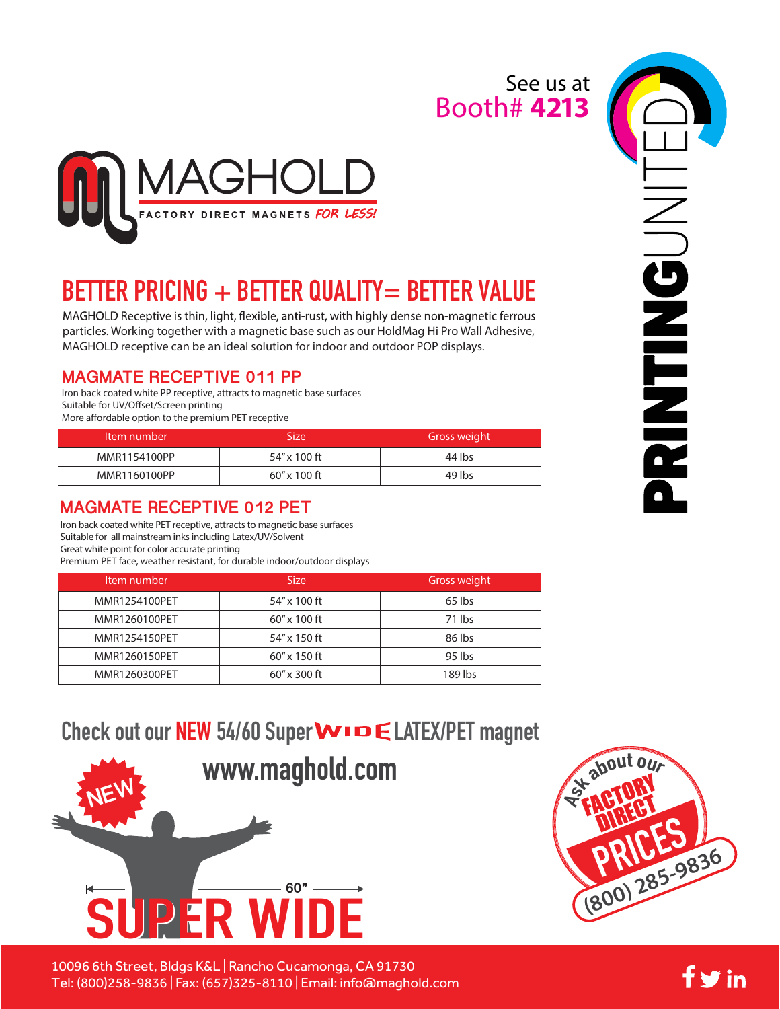### Booth# **4213** See us at



# **BETTER PRICING + BETTER QUALITY= BETTER VALUE**

MAGHOLD Receptive is thin, light, flexible, anti-rust, with highly dense non-magnetic ferrous particles. Working together with a magnetic base such as our HoldMag Hi Pro Wall Adhesive, MAGHOLD receptive can be an ideal solution for indoor and outdoor POP displays.

### **MAGMATE RECEPTIVE 011 PP**

Iron back coated white PP receptive, attracts to magnetic base surfaces Suitable for UV/Offset/Screen printing More affordable option to the premium PET receptive

| Item number  | Size'        | Gross weight |
|--------------|--------------|--------------|
| MMR1154100PP | 54″ x 100 ft | 44 lbs       |
| MMR1160100PP | 60″ x 100 ft | 49 lbs       |

### **MAGMATE RECEPTIVE 012 PET**

Iron back coated white PET receptive, attracts to magnetic base surfaces Suitable for all mainstream inks including Latex/UV/Solvent Great white point for color accurate printing Premium PET face, weather resistant, for durable indoor/outdoor displays

| Item number   | Size            | Gross weight |
|---------------|-----------------|--------------|
| MMR1254100PET | 54" x 100 ft    | 65 lbs       |
| MMR1260100PET | 60" x 100 ft    | 71 lbs       |
| MMR1254150PET | 54" x 150 ft    | 86 lbs       |
| MMR1260150PET | 60" x 150 ft    | 95 lbs       |
| MMR1260300PET | $60''$ x 300 ft | 189 lbs      |

## Check out our NEW 54/60 Super **WIDE LATEX/PET** magnet



10096 6th Street, Bldgs K&L | Rancho Cucamonga, CA 91730 Tel: (800)258-9836 | Fax: (657)325-8110 | Email: info@maghold.com





fyin